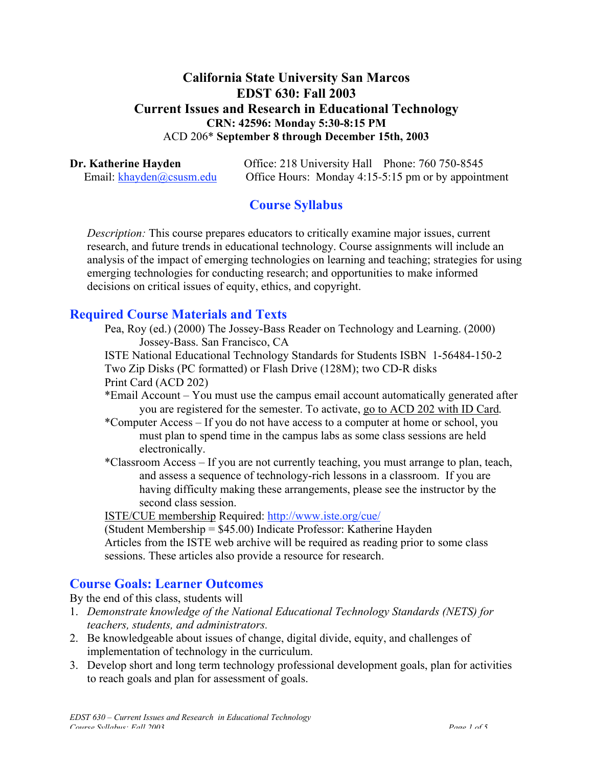#### **California State University San Marcos EDST 630: Fall 2003 Current Issues and Research in Educational Technology CRN: 42596: Monday 5:30-8:15 PM** ACD 206\* **September 8 through December 15th, 2003**

**Dr. Katherine Hayden Office: 218 University Hall Phone: 760 750-8545** Email: khayden@csusm.edu Office Hours: Monday 4:15-5:15 pm or by appointment

## **Course Syllabus**

*Description:* This course prepares educators to critically examine major issues, current research, and future trends in educational technology. Course assignments will include an analysis of the impact of emerging technologies on learning and teaching; strategies for using emerging technologies for conducting research; and opportunities to make informed decisions on critical issues of equity, ethics, and copyright.

#### **Required Course Materials and Texts**

Pea, Roy (ed.) (2000) The Jossey-Bass Reader on Technology and Learning. (2000) Jossey-Bass. San Francisco, CA

ISTE National Educational Technology Standards for Students ISBN 1-56484-150-2 Two Zip Disks (PC formatted) or Flash Drive (128M); two CD-R disks

Print Card (ACD 202)

- \*Email Account You must use the campus email account automatically generated after you are registered for the semester. To activate, go to ACD 202 with ID Card.
- \*Computer Access If you do not have access to a computer at home or school, you must plan to spend time in the campus labs as some class sessions are held electronically.
- \*Classroom Access If you are not currently teaching, you must arrange to plan, teach, and assess a sequence of technology-rich lessons in a classroom. If you are having difficulty making these arrangements, please see the instructor by the second class session.

ISTE/CUE membership Required: http://www.iste.org/cue/

(Student Membership = \$45.00) Indicate Professor: Katherine Hayden Articles from the ISTE web archive will be required as reading prior to some class sessions. These articles also provide a resource for research.

#### **Course Goals: Learner Outcomes**

By the end of this class, students will

- 1. *Demonstrate knowledge of the National Educational Technology Standards (NETS) for teachers, students, and administrators.*
- 2. Be knowledgeable about issues of change, digital divide, equity, and challenges of implementation of technology in the curriculum.
- 3. Develop short and long term technology professional development goals, plan for activities to reach goals and plan for assessment of goals.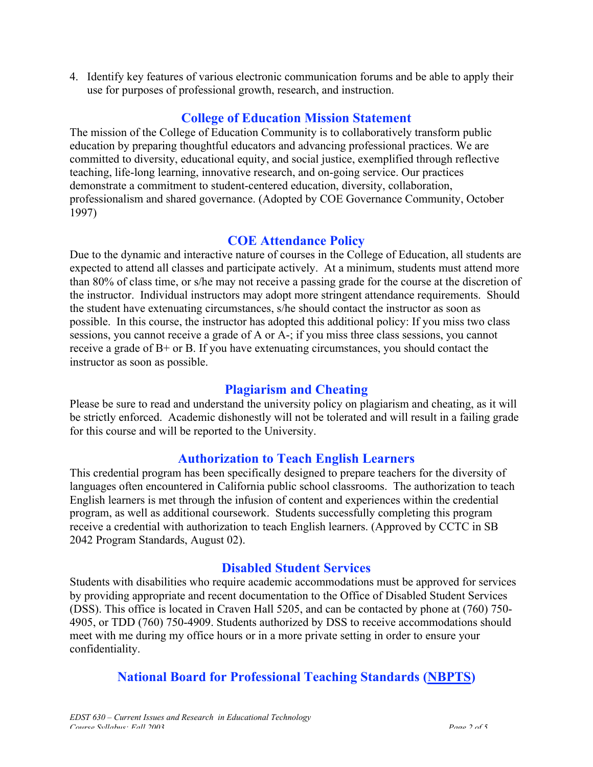4. Identify key features of various electronic communication forums and be able to apply their use for purposes of professional growth, research, and instruction.

#### **College of Education Mission Statement**

The mission of the College of Education Community is to collaboratively transform public education by preparing thoughtful educators and advancing professional practices. We are committed to diversity, educational equity, and social justice, exemplified through reflective teaching, life-long learning, innovative research, and on-going service. Our practices demonstrate a commitment to student-centered education, diversity, collaboration, professionalism and shared governance. (Adopted by COE Governance Community, October 1997)

#### **COE Attendance Policy**

Due to the dynamic and interactive nature of courses in the College of Education, all students are expected to attend all classes and participate actively. At a minimum, students must attend more than 80% of class time, or s/he may not receive a passing grade for the course at the discretion of the instructor. Individual instructors may adopt more stringent attendance requirements. Should the student have extenuating circumstances, s/he should contact the instructor as soon as possible. In this course, the instructor has adopted this additional policy: If you miss two class sessions, you cannot receive a grade of A or A-; if you miss three class sessions, you cannot receive a grade of B+ or B. If you have extenuating circumstances, you should contact the instructor as soon as possible.

#### **Plagiarism and Cheating**

Please be sure to read and understand the university policy on plagiarism and cheating, as it will be strictly enforced. Academic dishonestly will not be tolerated and will result in a failing grade for this course and will be reported to the University.

## **Authorization to Teach English Learners**

This credential program has been specifically designed to prepare teachers for the diversity of languages often encountered in California public school classrooms. The authorization to teach English learners is met through the infusion of content and experiences within the credential program, as well as additional coursework. Students successfully completing this program receive a credential with authorization to teach English learners. (Approved by CCTC in SB 2042 Program Standards, August 02).

## **Disabled Student Services**

Students with disabilities who require academic accommodations must be approved for services by providing appropriate and recent documentation to the Office of Disabled Student Services (DSS). This office is located in Craven Hall 5205, and can be contacted by phone at (760) 750- 4905, or TDD (760) 750-4909. Students authorized by DSS to receive accommodations should meet with me during my office hours or in a more private setting in order to ensure your confidentiality.

## **National Board for Professional Teaching Standards (NBPTS)**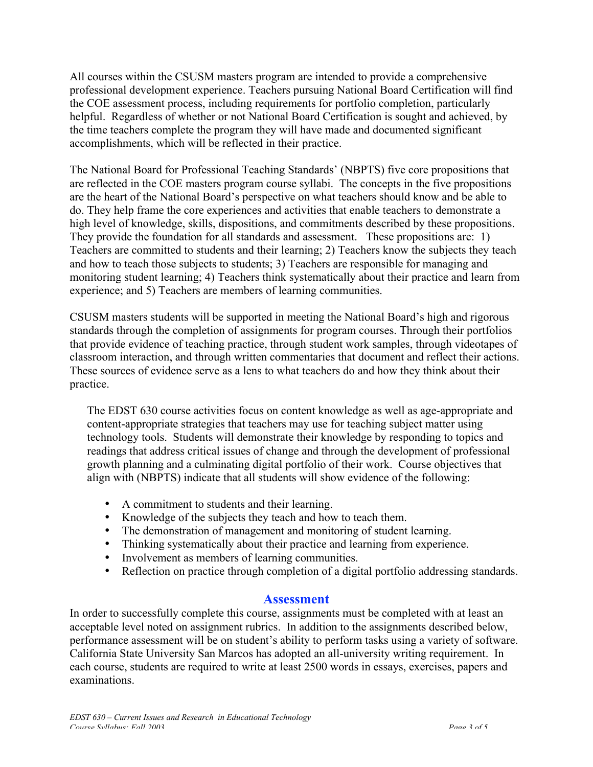All courses within the CSUSM masters program are intended to provide a comprehensive professional development experience. Teachers pursuing National Board Certification will find the COE assessment process, including requirements for portfolio completion, particularly helpful. Regardless of whether or not National Board Certification is sought and achieved, by the time teachers complete the program they will have made and documented significant accomplishments, which will be reflected in their practice.

The National Board for Professional Teaching Standards' (NBPTS) five core propositions that are reflected in the COE masters program course syllabi. The concepts in the five propositions are the heart of the National Board's perspective on what teachers should know and be able to do. They help frame the core experiences and activities that enable teachers to demonstrate a high level of knowledge, skills, dispositions, and commitments described by these propositions. They provide the foundation for all standards and assessment. These propositions are: 1) Teachers are committed to students and their learning; 2) Teachers know the subjects they teach and how to teach those subjects to students; 3) Teachers are responsible for managing and monitoring student learning; 4) Teachers think systematically about their practice and learn from experience; and 5) Teachers are members of learning communities.

CSUSM masters students will be supported in meeting the National Board's high and rigorous standards through the completion of assignments for program courses. Through their portfolios that provide evidence of teaching practice, through student work samples, through videotapes of classroom interaction, and through written commentaries that document and reflect their actions. These sources of evidence serve as a lens to what teachers do and how they think about their practice.

The EDST 630 course activities focus on content knowledge as well as age-appropriate and content-appropriate strategies that teachers may use for teaching subject matter using technology tools. Students will demonstrate their knowledge by responding to topics and readings that address critical issues of change and through the development of professional growth planning and a culminating digital portfolio of their work. Course objectives that align with (NBPTS) indicate that all students will show evidence of the following:

A commitment to students and their learning. Knowledge of the subjects they teach and how to teach them. The demonstration of management and monitoring of student learning. Thinking systematically about their practice and learning from experience. Involvement as members of learning communities. Reflection on practice through completion of a digital portfolio addressing standards.

#### **Assessment**

In order to successfully complete this course, assignments must be completed with at least an acceptable level noted on assignment rubrics. In addition to the assignments described below, performance assessment will be on student's ability to perform tasks using a variety of software. California State University San Marcos has adopted an all-university writing requirement. In each course, students are required to write at least 2500 words in essays, exercises, papers and examinations.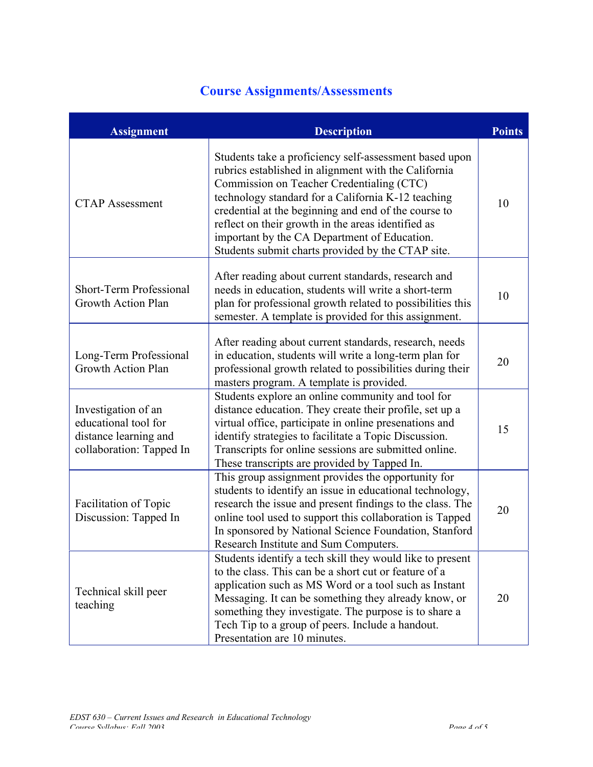# **Course Assignments/Assessments**

| <b>Assignment</b>                                                                                | <b>Description</b>                                                                                                                                                                                                                                                                                                                                                                                                                   | <b>Points</b> |
|--------------------------------------------------------------------------------------------------|--------------------------------------------------------------------------------------------------------------------------------------------------------------------------------------------------------------------------------------------------------------------------------------------------------------------------------------------------------------------------------------------------------------------------------------|---------------|
| <b>CTAP Assessment</b>                                                                           | Students take a proficiency self-assessment based upon<br>rubrics established in alignment with the California<br>Commission on Teacher Credentialing (CTC)<br>technology standard for a California K-12 teaching<br>credential at the beginning and end of the course to<br>reflect on their growth in the areas identified as<br>important by the CA Department of Education.<br>Students submit charts provided by the CTAP site. | 10            |
| Short-Term Professional<br>Growth Action Plan                                                    | After reading about current standards, research and<br>needs in education, students will write a short-term<br>plan for professional growth related to possibilities this<br>semester. A template is provided for this assignment.                                                                                                                                                                                                   | 10            |
| Long-Term Professional<br><b>Growth Action Plan</b>                                              | After reading about current standards, research, needs<br>in education, students will write a long-term plan for<br>professional growth related to possibilities during their<br>masters program. A template is provided.                                                                                                                                                                                                            | 20            |
| Investigation of an<br>educational tool for<br>distance learning and<br>collaboration: Tapped In | Students explore an online community and tool for<br>distance education. They create their profile, set up a<br>virtual office, participate in online presenations and<br>identify strategies to facilitate a Topic Discussion.<br>Transcripts for online sessions are submitted online.<br>These transcripts are provided by Tapped In.                                                                                             | 15            |
| <b>Facilitation of Topic</b><br>Discussion: Tapped In                                            | This group assignment provides the opportunity for<br>students to identify an issue in educational technology,<br>research the issue and present findings to the class. The<br>online tool used to support this collaboration is Tapped<br>In sponsored by National Science Foundation, Stanford<br>Research Institute and Sum Computers.                                                                                            | 20            |
| Technical skill peer<br>teaching                                                                 | Students identify a tech skill they would like to present<br>to the class. This can be a short cut or feature of a<br>application such as MS Word or a tool such as Instant<br>Messaging. It can be something they already know, or<br>something they investigate. The purpose is to share a<br>Tech Tip to a group of peers. Include a handout.<br>Presentation are 10 minutes.                                                     | 20            |